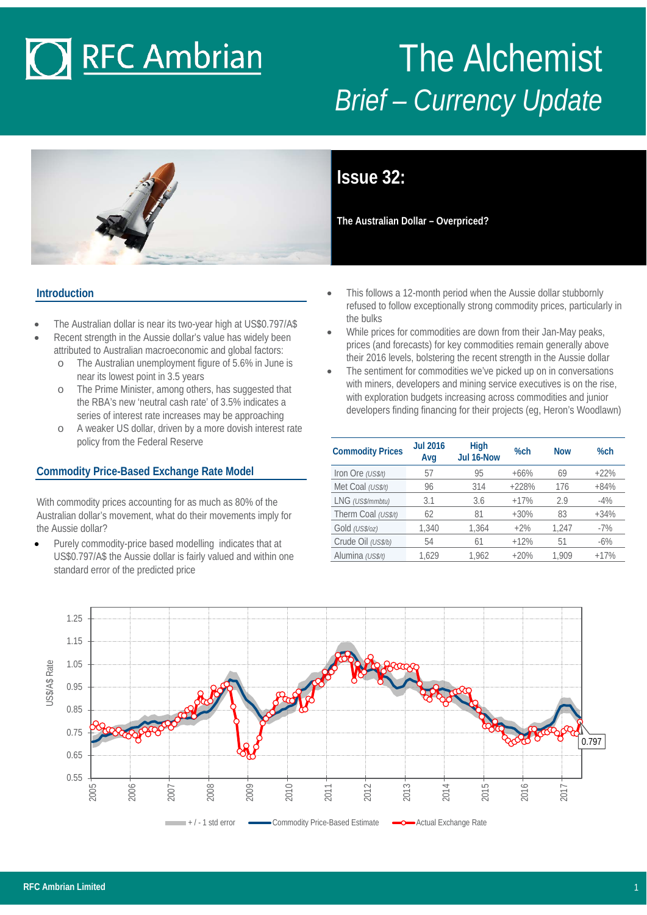# **O RFC Ambrian**

## The Alchemist *Brief – Currency Update*



**Issue 32:**

**The Australian Dollar – Overpriced?**

#### **Introduction**

- The Australian dollar is near its two-year high at US\$0.797/A\$
- Recent strength in the Aussie dollar's value has widely been attributed to Australian macroeconomic and global factors:
	- o The Australian unemployment figure of 5.6% in June is near its lowest point in 3.5 years
	- o The Prime Minister, among others, has suggested that the RBA's new 'neutral cash rate' of 3.5% indicates a series of interest rate increases may be approaching
	- A weaker US dollar, driven by a more dovish interest rate policy from the Federal Reserve

#### **Commodity Price-Based Exchange Rate Model**

With commodity prices accounting for as much as 80% of the Australian dollar's movement, what do their movements imply for the Aussie dollar?

Purely commodity-price based modelling indicates that at US\$0.797/A\$ the Aussie dollar is fairly valued and within one standard error of the predicted price

- This follows a 12-month period when the Aussie dollar stubbornly refused to follow exceptionally strong commodity prices, particularly in the bulks
- While prices for commodities are down from their Jan-May peaks, prices (and forecasts) for key commodities remain generally above their 2016 levels, bolstering the recent strength in the Aussie dollar
- The sentiment for commodities we've picked up on in conversations with miners, developers and mining service executives is on the rise, with exploration budgets increasing across commodities and junior developers finding financing for their projects (eg, Heron's Woodlawn)

| <b>Commodity Prices</b> | <b>Jul 2016</b><br>Avg | <b>High</b><br>Jul 16-Now | $%$ ch  | <b>Now</b> | $%$ ch |
|-------------------------|------------------------|---------------------------|---------|------------|--------|
| Iron Ore (US\$/t)       | 57                     | 95                        | $+66%$  | 69         | $+22%$ |
| Met Coal (US\$/t)       | 96                     | 314                       | $+228%$ | 176        | $+84%$ |
| LNG (US\$/mmbtu)        | 3.1                    | 3.6                       | $+17%$  | 2.9        | $-4%$  |
| Therm Coal (US\$/t)     | 62                     | 81                        | $+30%$  | 83         | $+34%$ |
| Gold (US\$/oz)          | 1,340                  | 1.364                     | $+2\%$  | 1.247      | $-7%$  |
| Crude Oil (US\$/b)      | 54                     | 61                        | $+12%$  | 51         | $-6\%$ |
| Alumina (US\$/t)        | 1.629                  | 1,962                     | $+20%$  | 1.909      | $+17%$ |